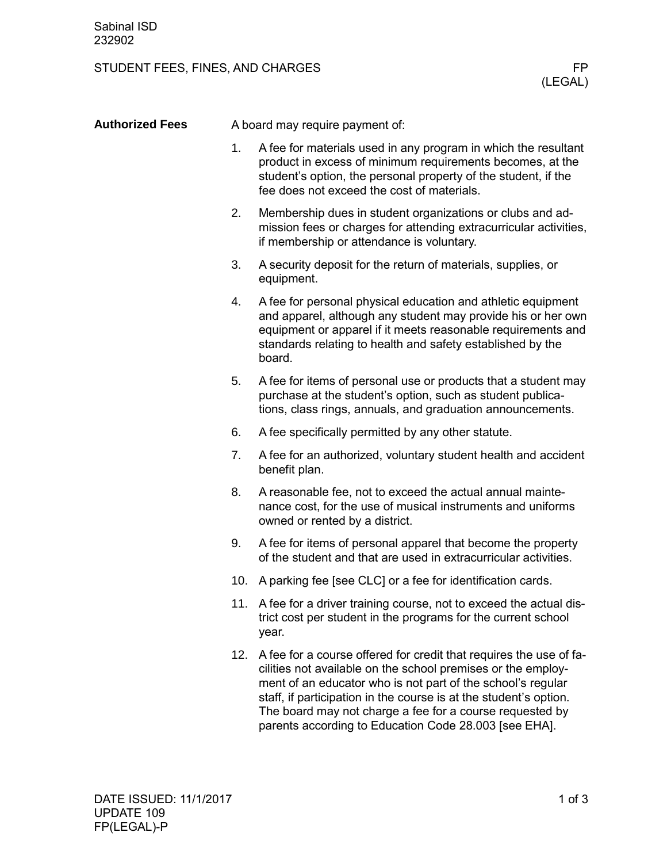## STUDENT FEES, FINES, AND CHARGES FINES, AND THE RESISTENT PRESENTED AS A REPORT OF PRESENT ASSESSMENT PRESENT

| <b>Authorized Fees</b> | A board may require payment of: |                                                                                                                                                                                                                                                                                                                                                                                             |  |
|------------------------|---------------------------------|---------------------------------------------------------------------------------------------------------------------------------------------------------------------------------------------------------------------------------------------------------------------------------------------------------------------------------------------------------------------------------------------|--|
|                        | 1.                              | A fee for materials used in any program in which the resultant<br>product in excess of minimum requirements becomes, at the<br>student's option, the personal property of the student, if the<br>fee does not exceed the cost of materials.                                                                                                                                                 |  |
|                        | 2.                              | Membership dues in student organizations or clubs and ad-<br>mission fees or charges for attending extracurricular activities,<br>if membership or attendance is voluntary.                                                                                                                                                                                                                 |  |
|                        | 3.                              | A security deposit for the return of materials, supplies, or<br>equipment.                                                                                                                                                                                                                                                                                                                  |  |
|                        | 4.                              | A fee for personal physical education and athletic equipment<br>and apparel, although any student may provide his or her own<br>equipment or apparel if it meets reasonable requirements and<br>standards relating to health and safety established by the<br>board.                                                                                                                        |  |
|                        | 5.                              | A fee for items of personal use or products that a student may<br>purchase at the student's option, such as student publica-<br>tions, class rings, annuals, and graduation announcements.                                                                                                                                                                                                  |  |
|                        | 6.                              | A fee specifically permitted by any other statute.                                                                                                                                                                                                                                                                                                                                          |  |
|                        | 7.                              | A fee for an authorized, voluntary student health and accident<br>benefit plan.                                                                                                                                                                                                                                                                                                             |  |
|                        | 8.                              | A reasonable fee, not to exceed the actual annual mainte-<br>nance cost, for the use of musical instruments and uniforms<br>owned or rented by a district.                                                                                                                                                                                                                                  |  |
|                        | 9.                              | A fee for items of personal apparel that become the property<br>of the student and that are used in extracurricular activities.                                                                                                                                                                                                                                                             |  |
|                        |                                 | 10. A parking fee [see CLC] or a fee for identification cards.                                                                                                                                                                                                                                                                                                                              |  |
|                        |                                 | 11. A fee for a driver training course, not to exceed the actual dis-<br>trict cost per student in the programs for the current school<br>year.                                                                                                                                                                                                                                             |  |
|                        | 12.                             | A fee for a course offered for credit that requires the use of fa-<br>cilities not available on the school premises or the employ-<br>ment of an educator who is not part of the school's regular<br>staff, if participation in the course is at the student's option.<br>The board may not charge a fee for a course requested by<br>parents according to Education Code 28.003 [see EHA]. |  |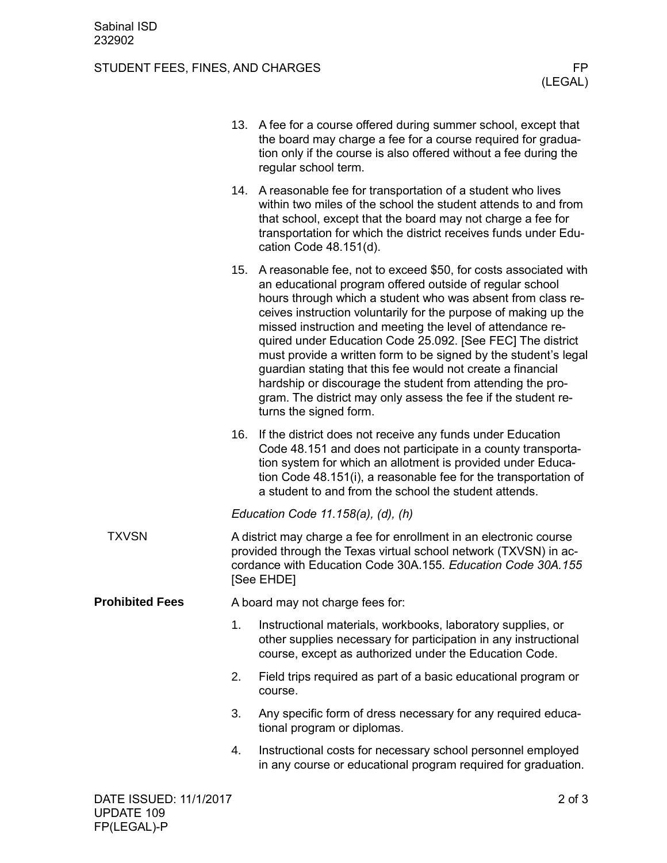## STUDENT FEES, FINES, AND CHARGES FINES, AND THE RESISTENT PRESENTED AS A REPORT OF PRESENT ASSESSMENT PRESENT

|                        |                                                                                                                                                                                                                      | 13. A fee for a course offered during summer school, except that<br>the board may charge a fee for a course required for gradua-<br>tion only if the course is also offered without a fee during the<br>regular school term.                                                                                                                                                                                                                                                                                                                                                                                                                                                             |  |  |
|------------------------|----------------------------------------------------------------------------------------------------------------------------------------------------------------------------------------------------------------------|------------------------------------------------------------------------------------------------------------------------------------------------------------------------------------------------------------------------------------------------------------------------------------------------------------------------------------------------------------------------------------------------------------------------------------------------------------------------------------------------------------------------------------------------------------------------------------------------------------------------------------------------------------------------------------------|--|--|
|                        |                                                                                                                                                                                                                      | 14. A reasonable fee for transportation of a student who lives<br>within two miles of the school the student attends to and from<br>that school, except that the board may not charge a fee for<br>transportation for which the district receives funds under Edu-<br>cation Code 48.151(d).                                                                                                                                                                                                                                                                                                                                                                                             |  |  |
|                        |                                                                                                                                                                                                                      | 15. A reasonable fee, not to exceed \$50, for costs associated with<br>an educational program offered outside of regular school<br>hours through which a student who was absent from class re-<br>ceives instruction voluntarily for the purpose of making up the<br>missed instruction and meeting the level of attendance re-<br>quired under Education Code 25.092. [See FEC] The district<br>must provide a written form to be signed by the student's legal<br>guardian stating that this fee would not create a financial<br>hardship or discourage the student from attending the pro-<br>gram. The district may only assess the fee if the student re-<br>turns the signed form. |  |  |
|                        | 16.                                                                                                                                                                                                                  | If the district does not receive any funds under Education<br>Code 48.151 and does not participate in a county transporta-<br>tion system for which an allotment is provided under Educa-<br>tion Code 48.151(i), a reasonable fee for the transportation of<br>a student to and from the school the student attends.                                                                                                                                                                                                                                                                                                                                                                    |  |  |
|                        |                                                                                                                                                                                                                      | Education Code 11.158(a), (d), (h)                                                                                                                                                                                                                                                                                                                                                                                                                                                                                                                                                                                                                                                       |  |  |
| <b>TXVSN</b>           | A district may charge a fee for enrollment in an electronic course<br>provided through the Texas virtual school network (TXVSN) in ac-<br>cordance with Education Code 30A.155. Education Code 30A.155<br>[See EHDE] |                                                                                                                                                                                                                                                                                                                                                                                                                                                                                                                                                                                                                                                                                          |  |  |
| <b>Prohibited Fees</b> |                                                                                                                                                                                                                      | A board may not charge fees for:                                                                                                                                                                                                                                                                                                                                                                                                                                                                                                                                                                                                                                                         |  |  |
|                        | 1.                                                                                                                                                                                                                   | Instructional materials, workbooks, laboratory supplies, or<br>other supplies necessary for participation in any instructional<br>course, except as authorized under the Education Code.                                                                                                                                                                                                                                                                                                                                                                                                                                                                                                 |  |  |
|                        | 2.                                                                                                                                                                                                                   | Field trips required as part of a basic educational program or<br>course.                                                                                                                                                                                                                                                                                                                                                                                                                                                                                                                                                                                                                |  |  |
|                        | 3.                                                                                                                                                                                                                   | Any specific form of dress necessary for any required educa-<br>tional program or diplomas.                                                                                                                                                                                                                                                                                                                                                                                                                                                                                                                                                                                              |  |  |
|                        | 4.                                                                                                                                                                                                                   | Instructional costs for necessary school personnel employed<br>in any course or educational program required for graduation.                                                                                                                                                                                                                                                                                                                                                                                                                                                                                                                                                             |  |  |
|                        |                                                                                                                                                                                                                      |                                                                                                                                                                                                                                                                                                                                                                                                                                                                                                                                                                                                                                                                                          |  |  |